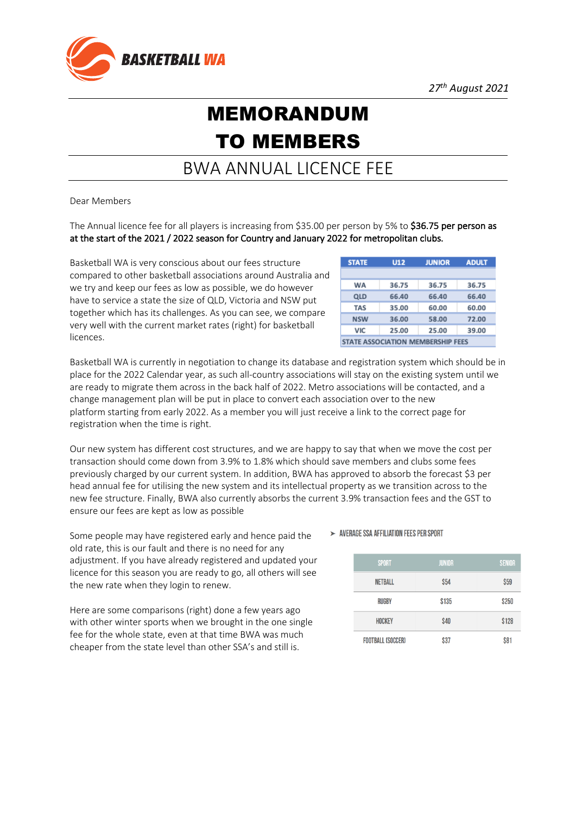

## MEMORANDUM TO MEMBERS

## BWA ANNUAL LICENCE FEE

Dear Members

The Annual licence fee for all players is increasing from \$35.00 per person by 5% to \$36.75 per person as at the start of the 2021 / 2022 season for Country and January 2022 for metropolitan clubs.

Basketball WA is very conscious about our fees structure compared to other basketball associations around Australia and we try and keep our fees as low as possible, we do however have to service a state the size of QLD, Victoria and NSW put together which has its challenges. As you can see, we compare very well with the current market rates (right) for basketball licences.

| <b>STATE</b>                             | <b>U12</b> | <b>JUNIOR</b> | <b>ADULT</b> |  |
|------------------------------------------|------------|---------------|--------------|--|
|                                          |            |               |              |  |
| WA                                       | 36.75      | 36.75         | 36.75        |  |
| QLD                                      | 66.40      | 66.40         | 66.40        |  |
| <b>TAS</b>                               | 35.00      | 60.00         | 60.00        |  |
| <b>NSW</b>                               | 36.00      | 58.00         | 72.00        |  |
| VIC                                      | 25.00      | 25.00         | 39.00        |  |
| <b>STATE ASSOCIATION MEMBERSHIP FEES</b> |            |               |              |  |

Basketball WA is currently in negotiation to change its database and registration system which should be in place for the 2022 Calendar year, as such all-country associations will stay on the existing system until we are ready to migrate them across in the back half of 2022. Metro associations will be contacted, and a change management plan will be put in place to convert each association over to the new platform starting from early 2022. As a member you will just receive a link to the correct page for registration when the time is right.

Our new system has different cost structures, and we are happy to say that when we move the cost per transaction should come down from 3.9% to 1.8% which should save members and clubs some fees previously charged by our current system. In addition, BWA has approved to absorb the forecast \$3 per head annual fee for utilising the new system and its intellectual property as we transition across to the new fee structure. Finally, BWA also currently absorbs the current 3.9% transaction fees and the GST to ensure our fees are kept as low as possible

Some people may have registered early and hence paid the old rate, this is our fault and there is no need for any adjustment. If you have already registered and updated your licence for this season you are ready to go, all others will see the new rate when they login to renew.

Here are some comparisons (right) done a few years ago with other winter sports when we brought in the one single fee for the whole state, even at that time BWA was much cheaper from the state level than other SSA's and still is.

## > AVERAGE SSA AFFILIATION FFFS PER SPORT

| <b>SPORT</b>             | <b>JUNIOR</b> | <b>SENIOR</b> |
|--------------------------|---------------|---------------|
| <b>NETBALL</b>           | <b>\$54</b>   | <b>S59</b>    |
| <b>RUGBY</b>             | \$135         | \$250         |
| <b>HOCKEY</b>            | <b>\$40</b>   | \$128         |
| <b>FOOTBALL (SOCCER)</b> | \$37          | <b>S81</b>    |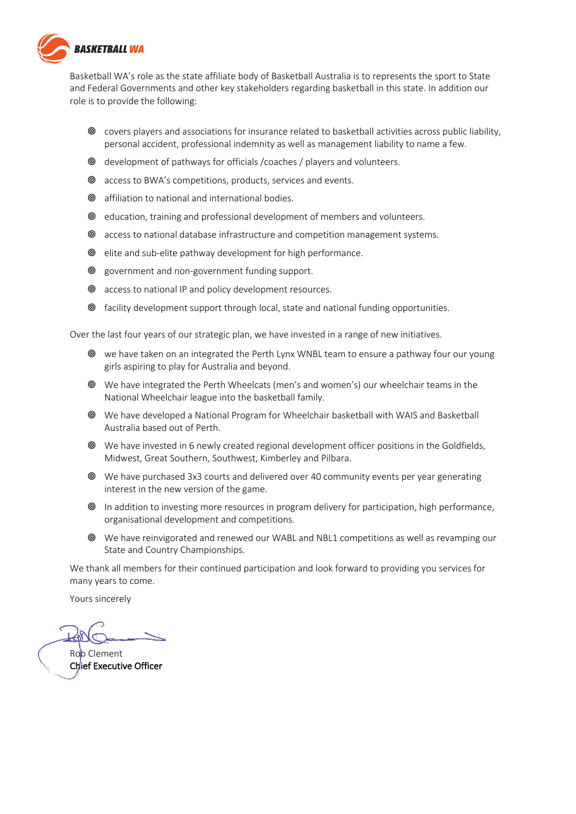

Basketball WA's role as the state affiliate body of Basketball Australia is to represents the sport to State and Federal Governments and other key stakeholders regarding basketball in this state. In addition our role is to provide the following:

- <sup>●</sup> covers players and associations for insurance related to basketball activities across public liability, personal accident, professional indemnity as well as management liability to name a few.
- <sup>●</sup> development of pathways for officials / coaches / players and volunteers.
- <sup>®</sup> access to BWA's competitions, products, services and events.
- $\circledcirc$  affiliation to national and international bodies.
- <sup>®</sup> education, training and professional development of members and volunteers.
- <sup>●</sup> access to national database infrastructure and competition management systems.
- <sup>●</sup> elite and sub-elite pathway development for high performance.
- <sup>●</sup> government and non-government funding support.
- <sup>●</sup> access to national IP and policy development resources.
- <sup>●</sup> facility development support through local, state and national funding opportunities.

Over the last four years of our strategic plan, we have invested in a range of new initiatives.

- <sup>●</sup> we have taken on an integrated the Perth Lynx WNBL team to ensure a pathway four our young girls aspiring to play for Australia and beyond.
- <sup>●</sup> We have integrated the Perth Wheelcats (men's and women's) our wheelchair teams in the National Wheelchair league into the basketball family.
- <sup>●</sup> We have developed a National Program for Wheelchair basketball with WAIS and Basketball Australia based out of Perth.
- <sup>●</sup> We have invested in 6 newly created regional development officer positions in the Goldfields, Midwest, Great Southern, Southwest, Kimberley and Pilbara.
- <sup>●</sup> We have purchased 3x3 courts and delivered over 40 community events per year generating interest in the new version of the game.
- **■** In addition to investing more resources in program delivery for participation, high performance, organisational development and competitions.
- <sup>●</sup> We have reinvigorated and renewed our WABL and NBL1 competitions as well as revamping our State and Country Championships.

We thank all members for their continued participation and look forward to providing you services for many years to come.

Yours sincerely

Rob Clement Chief Executive Officer